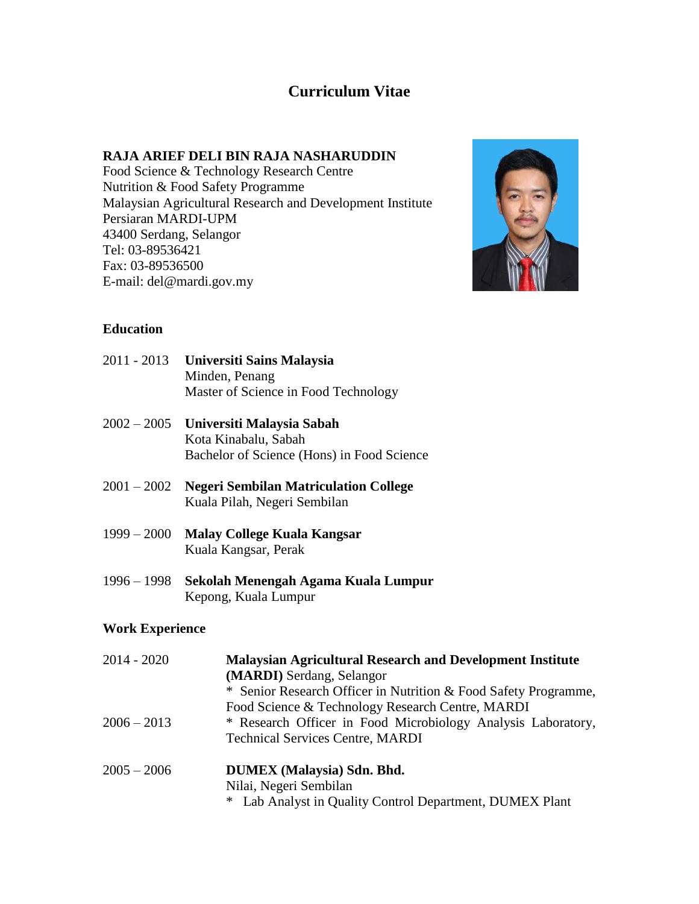# **Curriculum Vitae**

#### **RAJA ARIEF DELI BIN RAJA NASHARUDDIN**

Food Science & Technology Research Centre Nutrition & Food Safety Programme Malaysian Agricultural Research and Development Institute Persiaran MARDI-UPM 43400 Serdang, Selangor Tel: 03-89536421 Fax: 03-89536500 E-mail: del@mardi.gov.my



### **Education**

| 2011 - 2013   | Universiti Sains Malaysia<br>Minden, Penang<br>Master of Science in Food Technology             |
|---------------|-------------------------------------------------------------------------------------------------|
| $2002 - 2005$ | Universiti Malaysia Sabah<br>Kota Kinabalu, Sabah<br>Bachelor of Science (Hons) in Food Science |
| $2001 - 2002$ | <b>Negeri Sembilan Matriculation College</b><br>Kuala Pilah, Negeri Sembilan                    |

1999 – 2000 **Malay College Kuala Kangsar**

Kuala Kangsar, Perak

1996 – 1998 **Sekolah Menengah Agama Kuala Lumpur** Kepong, Kuala Lumpur

### **Work Experience**

| 2014 - 2020   | <b>Malaysian Agricultural Research and Development Institute</b><br>(MARDI) Serdang, Selangor |
|---------------|-----------------------------------------------------------------------------------------------|
|               | * Senior Research Officer in Nutrition & Food Safety Programme,                               |
|               | Food Science & Technology Research Centre, MARDI                                              |
| $2006 - 2013$ | * Research Officer in Food Microbiology Analysis Laboratory,                                  |
|               | <b>Technical Services Centre, MARDI</b>                                                       |
| $2005 - 2006$ | <b>DUMEX</b> (Malaysia) Sdn. Bhd.                                                             |
|               | Nilai, Negeri Sembilan                                                                        |
|               | * Lab Analyst in Quality Control Department, DUMEX Plant                                      |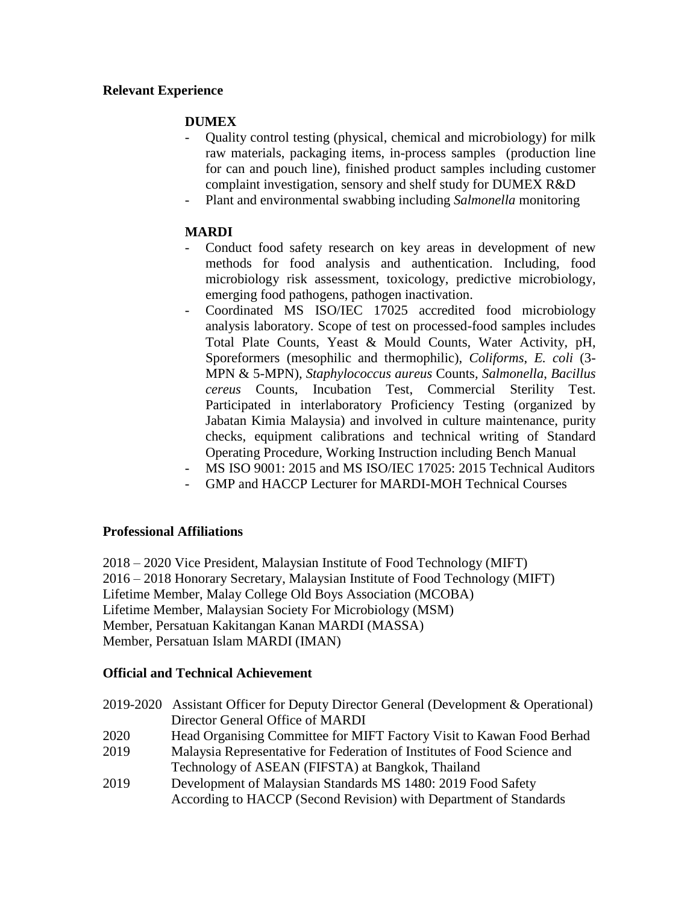## **Relevant Experience**

# **DUMEX**

- Quality control testing (physical, chemical and microbiology) for milk raw materials, packaging items, in-process samples (production line for can and pouch line), finished product samples including customer complaint investigation, sensory and shelf study for DUMEX R&D
- Plant and environmental swabbing including *Salmonella* monitoring

### **MARDI**

- Conduct food safety research on key areas in development of new methods for food analysis and authentication. Including, food microbiology risk assessment, toxicology, predictive microbiology, emerging food pathogens, pathogen inactivation.
- Coordinated MS ISO/IEC 17025 accredited food microbiology analysis laboratory. Scope of test on processed-food samples includes Total Plate Counts, Yeast & Mould Counts, Water Activity, pH, Sporeformers (mesophilic and thermophilic), *Coliforms*, *E. coli* (3- MPN & 5-MPN)*, Staphylococcus aureus* Counts*, Salmonella*, *Bacillus cereus* Counts*,* Incubation Test, Commercial Sterility Test. Participated in interlaboratory Proficiency Testing (organized by Jabatan Kimia Malaysia) and involved in culture maintenance, purity checks, equipment calibrations and technical writing of Standard Operating Procedure, Working Instruction including Bench Manual
- MS ISO 9001: 2015 and MS ISO/IEC 17025: 2015 Technical Auditors
- GMP and HACCP Lecturer for MARDI-MOH Technical Courses

### **Professional Affiliations**

2018 – 2020 Vice President, Malaysian Institute of Food Technology (MIFT) 2016 – 2018 Honorary Secretary, Malaysian Institute of Food Technology (MIFT) Lifetime Member, Malay College Old Boys Association (MCOBA) Lifetime Member, Malaysian Society For Microbiology (MSM) Member, Persatuan Kakitangan Kanan MARDI (MASSA) Member, Persatuan Islam MARDI (IMAN)

### **Official and Technical Achievement**

| 2019-2020 Assistant Officer for Deputy Director General (Development & Operational) |
|-------------------------------------------------------------------------------------|
| Director General Office of MARDI                                                    |
| Head Organising Committee for MIFT Factory Visit to Kawan Food Berhad               |
| Malaysia Representative for Federation of Institutes of Food Science and            |
| Technology of ASEAN (FIFSTA) at Bangkok, Thailand                                   |
| Development of Malaysian Standards MS 1480: 2019 Food Safety                        |
| According to HACCP (Second Revision) with Department of Standards                   |
|                                                                                     |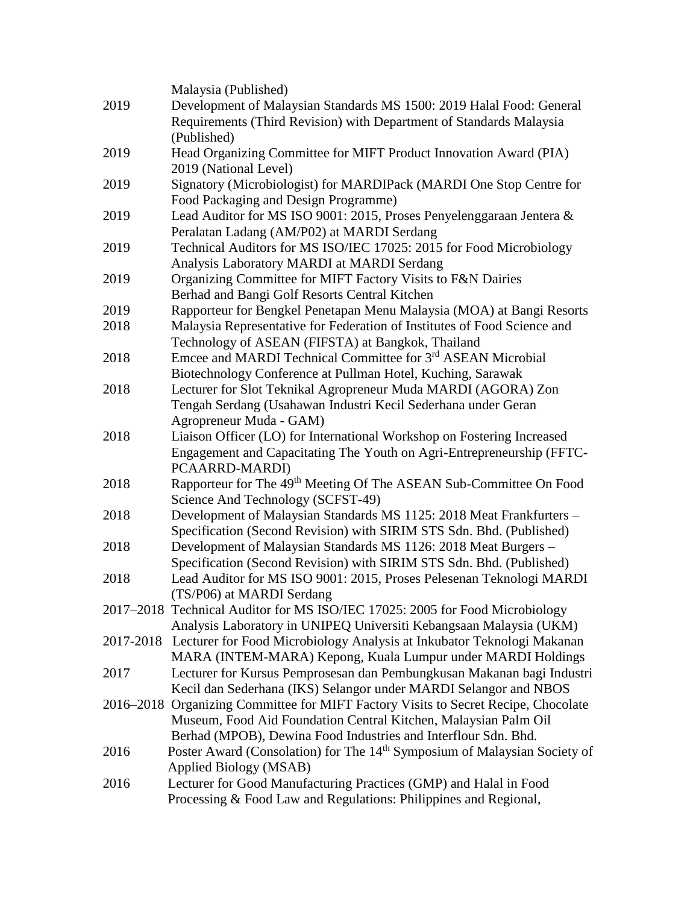|      | Malaysia (Published)                                                                                                                         |
|------|----------------------------------------------------------------------------------------------------------------------------------------------|
| 2019 | Development of Malaysian Standards MS 1500: 2019 Halal Food: General                                                                         |
|      | Requirements (Third Revision) with Department of Standards Malaysia                                                                          |
|      | (Published)                                                                                                                                  |
| 2019 | Head Organizing Committee for MIFT Product Innovation Award (PIA)                                                                            |
|      | 2019 (National Level)                                                                                                                        |
| 2019 | Signatory (Microbiologist) for MARDIPack (MARDI One Stop Centre for                                                                          |
|      | Food Packaging and Design Programme)                                                                                                         |
| 2019 | Lead Auditor for MS ISO 9001: 2015, Proses Penyelenggaraan Jentera &                                                                         |
|      | Peralatan Ladang (AM/P02) at MARDI Serdang                                                                                                   |
| 2019 | Technical Auditors for MS ISO/IEC 17025: 2015 for Food Microbiology                                                                          |
|      | Analysis Laboratory MARDI at MARDI Serdang                                                                                                   |
| 2019 | Organizing Committee for MIFT Factory Visits to F&N Dairies                                                                                  |
|      | Berhad and Bangi Golf Resorts Central Kitchen                                                                                                |
| 2019 | Rapporteur for Bengkel Penetapan Menu Malaysia (MOA) at Bangi Resorts                                                                        |
| 2018 | Malaysia Representative for Federation of Institutes of Food Science and                                                                     |
|      | Technology of ASEAN (FIFSTA) at Bangkok, Thailand                                                                                            |
| 2018 | Emcee and MARDI Technical Committee for 3 <sup>rd</sup> ASEAN Microbial                                                                      |
|      | Biotechnology Conference at Pullman Hotel, Kuching, Sarawak                                                                                  |
| 2018 | Lecturer for Slot Teknikal Agropreneur Muda MARDI (AGORA) Zon                                                                                |
|      | Tengah Serdang (Usahawan Industri Kecil Sederhana under Geran                                                                                |
|      | Agropreneur Muda - GAM)                                                                                                                      |
| 2018 | Liaison Officer (LO) for International Workshop on Fostering Increased                                                                       |
|      | Engagement and Capacitating The Youth on Agri-Entrepreneurship (FFTC-                                                                        |
|      | PCAARRD-MARDI)                                                                                                                               |
| 2018 | Rapporteur for The 49 <sup>th</sup> Meeting Of The ASEAN Sub-Committee On Food                                                               |
| 2018 | Science And Technology (SCFST-49)                                                                                                            |
|      | Development of Malaysian Standards MS 1125: 2018 Meat Frankfurters -<br>Specification (Second Revision) with SIRIM STS Sdn. Bhd. (Published) |
| 2018 | Development of Malaysian Standards MS 1126: 2018 Meat Burgers -                                                                              |
|      | Specification (Second Revision) with SIRIM STS Sdn. Bhd. (Published)                                                                         |
| 2018 | Lead Auditor for MS ISO 9001: 2015, Proses Pelesenan Teknologi MARDI                                                                         |
|      | (TS/P06) at MARDI Serdang                                                                                                                    |
|      | 2017-2018 Technical Auditor for MS ISO/IEC 17025: 2005 for Food Microbiology                                                                 |
|      | Analysis Laboratory in UNIPEQ Universiti Kebangsaan Malaysia (UKM)                                                                           |
|      | 2017-2018 Lecturer for Food Microbiology Analysis at Inkubator Teknologi Makanan                                                             |
|      | MARA (INTEM-MARA) Kepong, Kuala Lumpur under MARDI Holdings                                                                                  |
| 2017 | Lecturer for Kursus Pemprosesan dan Pembungkusan Makanan bagi Industri                                                                       |
|      | Kecil dan Sederhana (IKS) Selangor under MARDI Selangor and NBOS                                                                             |
|      | 2016–2018 Organizing Committee for MIFT Factory Visits to Secret Recipe, Chocolate                                                           |
|      | Museum, Food Aid Foundation Central Kitchen, Malaysian Palm Oil                                                                              |
|      | Berhad (MPOB), Dewina Food Industries and Interflour Sdn. Bhd.                                                                               |
| 2016 | Poster Award (Consolation) for The 14 <sup>th</sup> Symposium of Malaysian Society of                                                        |
|      | Applied Biology (MSAB)                                                                                                                       |
| 2016 | Lecturer for Good Manufacturing Practices (GMP) and Halal in Food                                                                            |
|      | Processing & Food Law and Regulations: Philippines and Regional,                                                                             |
|      |                                                                                                                                              |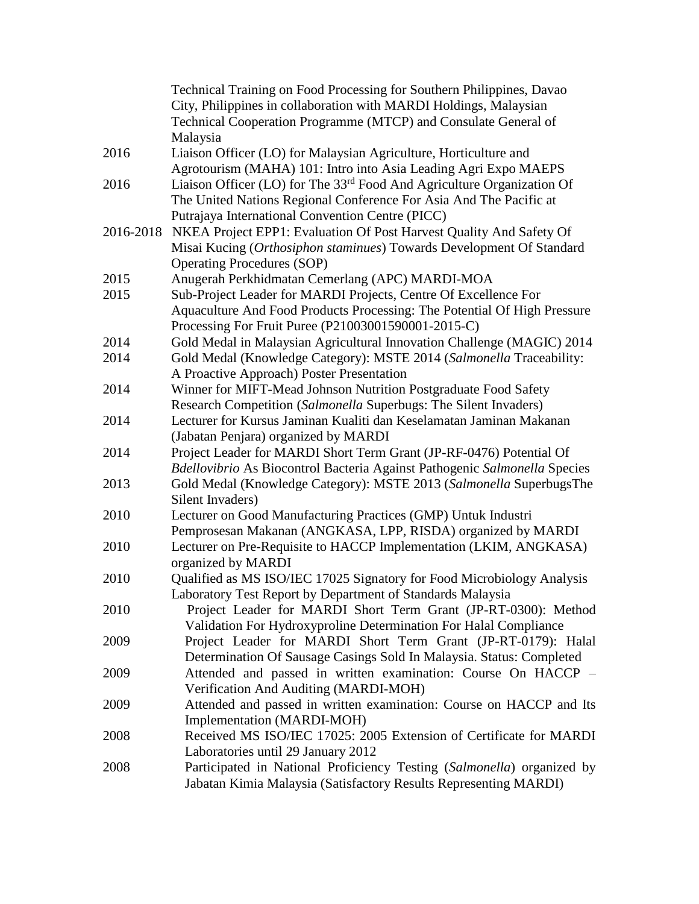|           | Technical Training on Food Processing for Southern Philippines, Davao                                                                      |
|-----------|--------------------------------------------------------------------------------------------------------------------------------------------|
|           | City, Philippines in collaboration with MARDI Holdings, Malaysian                                                                          |
|           | Technical Cooperation Programme (MTCP) and Consulate General of                                                                            |
|           | Malaysia                                                                                                                                   |
| 2016      | Liaison Officer (LO) for Malaysian Agriculture, Horticulture and                                                                           |
|           | Agrotourism (MAHA) 101: Intro into Asia Leading Agri Expo MAEPS                                                                            |
| 2016      | Liaison Officer (LO) for The 33 <sup>rd</sup> Food And Agriculture Organization Of                                                         |
|           | The United Nations Regional Conference For Asia And The Pacific at                                                                         |
|           | Putrajaya International Convention Centre (PICC)                                                                                           |
| 2016-2018 | NKEA Project EPP1: Evaluation Of Post Harvest Quality And Safety Of                                                                        |
|           | Misai Kucing (Orthosiphon staminues) Towards Development Of Standard                                                                       |
|           | <b>Operating Procedures (SOP)</b>                                                                                                          |
| 2015      | Anugerah Perkhidmatan Cemerlang (APC) MARDI-MOA                                                                                            |
| 2015      | Sub-Project Leader for MARDI Projects, Centre Of Excellence For                                                                            |
|           | Aquaculture And Food Products Processing: The Potential Of High Pressure                                                                   |
|           | Processing For Fruit Puree (P21003001590001-2015-C)                                                                                        |
| 2014      | Gold Medal in Malaysian Agricultural Innovation Challenge (MAGIC) 2014                                                                     |
| 2014      | Gold Medal (Knowledge Category): MSTE 2014 (Salmonella Traceability:                                                                       |
|           | A Proactive Approach) Poster Presentation                                                                                                  |
| 2014      | Winner for MIFT-Mead Johnson Nutrition Postgraduate Food Safety                                                                            |
|           | Research Competition (Salmonella Superbugs: The Silent Invaders)                                                                           |
| 2014      | Lecturer for Kursus Jaminan Kualiti dan Keselamatan Jaminan Makanan                                                                        |
|           | (Jabatan Penjara) organized by MARDI                                                                                                       |
| 2014      | Project Leader for MARDI Short Term Grant (JP-RF-0476) Potential Of                                                                        |
|           | Bdellovibrio As Biocontrol Bacteria Against Pathogenic Salmonella Species                                                                  |
| 2013      | Gold Medal (Knowledge Category): MSTE 2013 (Salmonella SuperbugsThe                                                                        |
|           | Silent Invaders)                                                                                                                           |
| 2010      | Lecturer on Good Manufacturing Practices (GMP) Untuk Industri                                                                              |
|           | Pemprosesan Makanan (ANGKASA, LPP, RISDA) organized by MARDI                                                                               |
| 2010      | Lecturer on Pre-Requisite to HACCP Implementation (LKIM, ANGKASA)                                                                          |
|           | organized by MARDI                                                                                                                         |
| 2010      | Qualified as MS ISO/IEC 17025 Signatory for Food Microbiology Analysis                                                                     |
|           | Laboratory Test Report by Department of Standards Malaysia                                                                                 |
| 2010      | Project Leader for MARDI Short Term Grant (JP-RT-0300): Method                                                                             |
|           | Validation For Hydroxyproline Determination For Halal Compliance                                                                           |
| 2009      | Project Leader for MARDI Short Term Grant (JP-RT-0179): Halal                                                                              |
|           | Determination Of Sausage Casings Sold In Malaysia. Status: Completed                                                                       |
| 2009      | Attended and passed in written examination: Course On HACCP -                                                                              |
|           | Verification And Auditing (MARDI-MOH)                                                                                                      |
| 2009      | Attended and passed in written examination: Course on HACCP and Its                                                                        |
|           | Implementation (MARDI-MOH)                                                                                                                 |
| 2008      | Received MS ISO/IEC 17025: 2005 Extension of Certificate for MARDI                                                                         |
|           | Laboratories until 29 January 2012                                                                                                         |
| 2008      | Participated in National Proficiency Testing (Salmonella) organized by<br>Jabatan Kimia Malaysia (Satisfactory Results Representing MARDI) |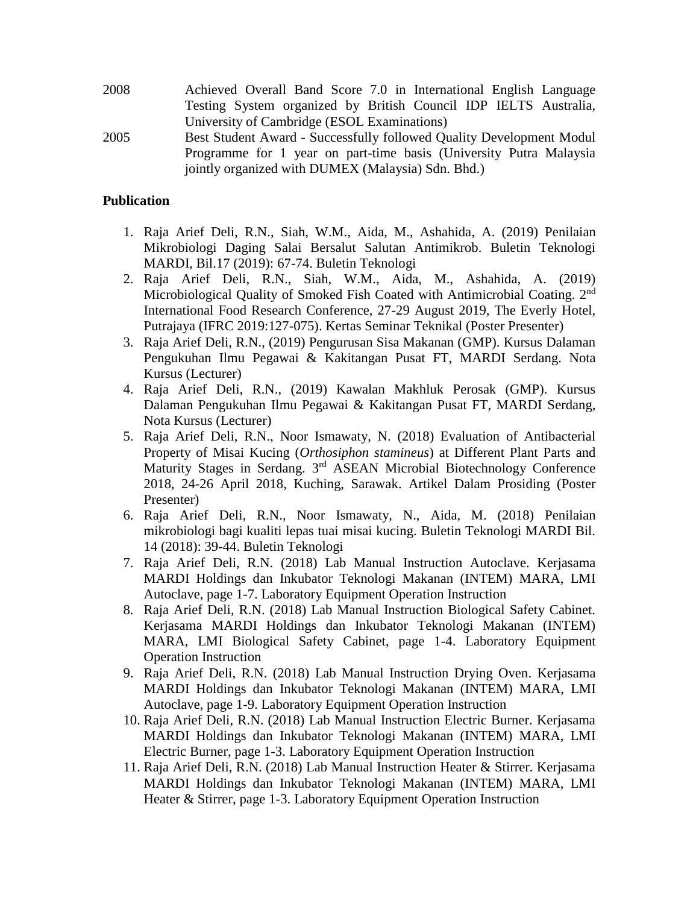- 2008 Achieved Overall Band Score 7.0 in International English Language Testing System organized by British Council IDP IELTS Australia, University of Cambridge (ESOL Examinations) 2005 Best Student Award - Successfully followed Quality Development Modul
- Programme for 1 year on part-time basis (University Putra Malaysia jointly organized with DUMEX (Malaysia) Sdn. Bhd.)

## **Publication**

- 1. Raja Arief Deli, R.N., Siah, W.M., Aida, M., Ashahida, A. (2019) Penilaian Mikrobiologi Daging Salai Bersalut Salutan Antimikrob. Buletin Teknologi MARDI, Bil.17 (2019): 67-74. Buletin Teknologi
- 2. Raja Arief Deli, R.N., Siah, W.M., Aida, M., Ashahida, A. (2019) Microbiological Quality of Smoked Fish Coated with Antimicrobial Coating. 2<sup>nd</sup> International Food Research Conference, 27-29 August 2019, The Everly Hotel, Putrajaya (IFRC 2019:127-075). Kertas Seminar Teknikal (Poster Presenter)
- 3. Raja Arief Deli, R.N., (2019) Pengurusan Sisa Makanan (GMP). Kursus Dalaman Pengukuhan Ilmu Pegawai & Kakitangan Pusat FT, MARDI Serdang. Nota Kursus (Lecturer)
- 4. Raja Arief Deli, R.N., (2019) Kawalan Makhluk Perosak (GMP). Kursus Dalaman Pengukuhan Ilmu Pegawai & Kakitangan Pusat FT, MARDI Serdang, Nota Kursus (Lecturer)
- 5. Raja Arief Deli, R.N., Noor Ismawaty, N. (2018) Evaluation of Antibacterial Property of Misai Kucing (*Orthosiphon stamineus*) at Different Plant Parts and Maturity Stages in Serdang. 3<sup>rd</sup> ASEAN Microbial Biotechnology Conference 2018, 24-26 April 2018, Kuching, Sarawak. Artikel Dalam Prosiding (Poster Presenter)
- 6. Raja Arief Deli, R.N., Noor Ismawaty, N., Aida, M. (2018) Penilaian mikrobiologi bagi kualiti lepas tuai misai kucing. Buletin Teknologi MARDI Bil. 14 (2018): 39-44. Buletin Teknologi
- 7. Raja Arief Deli, R.N. (2018) Lab Manual Instruction Autoclave. Kerjasama MARDI Holdings dan Inkubator Teknologi Makanan (INTEM) MARA, LMI Autoclave, page 1-7. Laboratory Equipment Operation Instruction
- 8. Raja Arief Deli, R.N. (2018) Lab Manual Instruction Biological Safety Cabinet. Kerjasama MARDI Holdings dan Inkubator Teknologi Makanan (INTEM) MARA, LMI Biological Safety Cabinet, page 1-4. Laboratory Equipment Operation Instruction
- 9. Raja Arief Deli, R.N. (2018) Lab Manual Instruction Drying Oven. Kerjasama MARDI Holdings dan Inkubator Teknologi Makanan (INTEM) MARA, LMI Autoclave, page 1-9. Laboratory Equipment Operation Instruction
- 10. Raja Arief Deli, R.N. (2018) Lab Manual Instruction Electric Burner. Kerjasama MARDI Holdings dan Inkubator Teknologi Makanan (INTEM) MARA, LMI Electric Burner, page 1-3. Laboratory Equipment Operation Instruction
- 11. Raja Arief Deli, R.N. (2018) Lab Manual Instruction Heater & Stirrer. Kerjasama MARDI Holdings dan Inkubator Teknologi Makanan (INTEM) MARA, LMI Heater & Stirrer, page 1-3. Laboratory Equipment Operation Instruction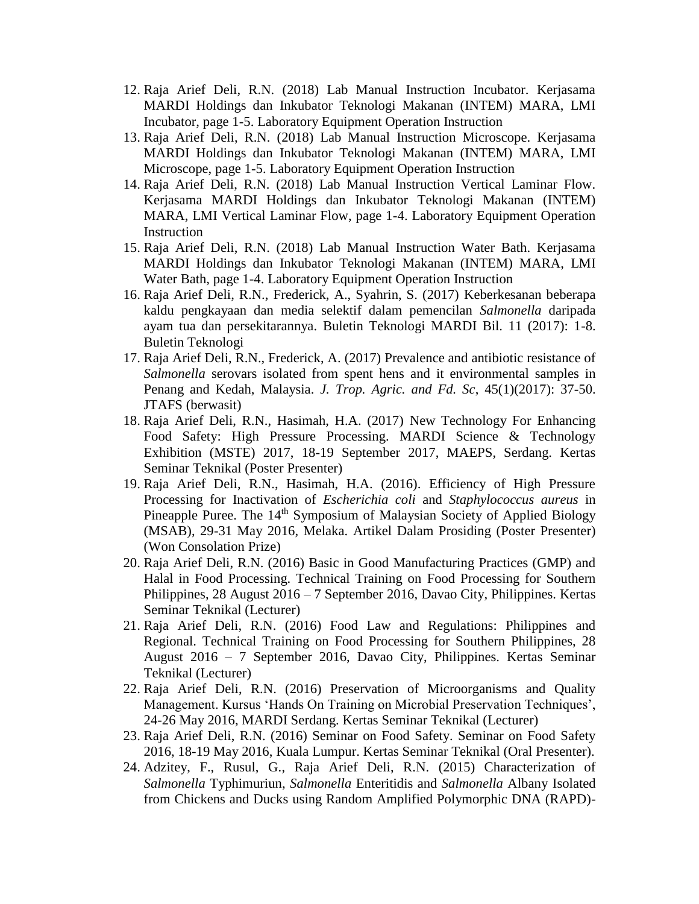- 12. Raja Arief Deli, R.N. (2018) Lab Manual Instruction Incubator. Kerjasama MARDI Holdings dan Inkubator Teknologi Makanan (INTEM) MARA, LMI Incubator, page 1-5. Laboratory Equipment Operation Instruction
- 13. Raja Arief Deli, R.N. (2018) Lab Manual Instruction Microscope. Kerjasama MARDI Holdings dan Inkubator Teknologi Makanan (INTEM) MARA, LMI Microscope, page 1-5. Laboratory Equipment Operation Instruction
- 14. Raja Arief Deli, R.N. (2018) Lab Manual Instruction Vertical Laminar Flow. Kerjasama MARDI Holdings dan Inkubator Teknologi Makanan (INTEM) MARA, LMI Vertical Laminar Flow, page 1-4. Laboratory Equipment Operation Instruction
- 15. Raja Arief Deli, R.N. (2018) Lab Manual Instruction Water Bath. Kerjasama MARDI Holdings dan Inkubator Teknologi Makanan (INTEM) MARA, LMI Water Bath, page 1-4. Laboratory Equipment Operation Instruction
- 16. Raja Arief Deli, R.N., Frederick, A., Syahrin, S. (2017) Keberkesanan beberapa kaldu pengkayaan dan media selektif dalam pemencilan *Salmonella* daripada ayam tua dan persekitarannya. Buletin Teknologi MARDI Bil. 11 (2017): 1-8. Buletin Teknologi
- 17. Raja Arief Deli, R.N., Frederick, A. (2017) Prevalence and antibiotic resistance of *Salmonella* serovars isolated from spent hens and it environmental samples in Penang and Kedah, Malaysia. *J. Trop. Agric. and Fd. Sc*, 45(1)(2017): 37-50. JTAFS (berwasit)
- 18. Raja Arief Deli, R.N., Hasimah, H.A. (2017) New Technology For Enhancing Food Safety: High Pressure Processing. MARDI Science & Technology Exhibition (MSTE) 2017, 18-19 September 2017, MAEPS, Serdang. Kertas Seminar Teknikal (Poster Presenter)
- 19. Raja Arief Deli, R.N., Hasimah, H.A. (2016). Efficiency of High Pressure Processing for Inactivation of *Escherichia coli* and *Staphylococcus aureus* in Pineapple Puree. The 14<sup>th</sup> Symposium of Malaysian Society of Applied Biology (MSAB), 29-31 May 2016, Melaka. Artikel Dalam Prosiding (Poster Presenter) (Won Consolation Prize)
- 20. Raja Arief Deli, R.N. (2016) Basic in Good Manufacturing Practices (GMP) and Halal in Food Processing. Technical Training on Food Processing for Southern Philippines, 28 August 2016 – 7 September 2016, Davao City, Philippines. Kertas Seminar Teknikal (Lecturer)
- 21. Raja Arief Deli, R.N. (2016) Food Law and Regulations: Philippines and Regional. Technical Training on Food Processing for Southern Philippines, 28 August 2016 – 7 September 2016, Davao City, Philippines. Kertas Seminar Teknikal (Lecturer)
- 22. Raja Arief Deli, R.N. (2016) Preservation of Microorganisms and Quality Management. Kursus 'Hands On Training on Microbial Preservation Techniques', 24-26 May 2016, MARDI Serdang. Kertas Seminar Teknikal (Lecturer)
- 23. Raja Arief Deli, R.N. (2016) Seminar on Food Safety. Seminar on Food Safety 2016, 18-19 May 2016, Kuala Lumpur. Kertas Seminar Teknikal (Oral Presenter).
- 24. Adzitey, F., Rusul, G., Raja Arief Deli, R.N. (2015) Characterization of *Salmonella* Typhimuriun, *Salmonella* Enteritidis and *Salmonella* Albany Isolated from Chickens and Ducks using Random Amplified Polymorphic DNA (RAPD)-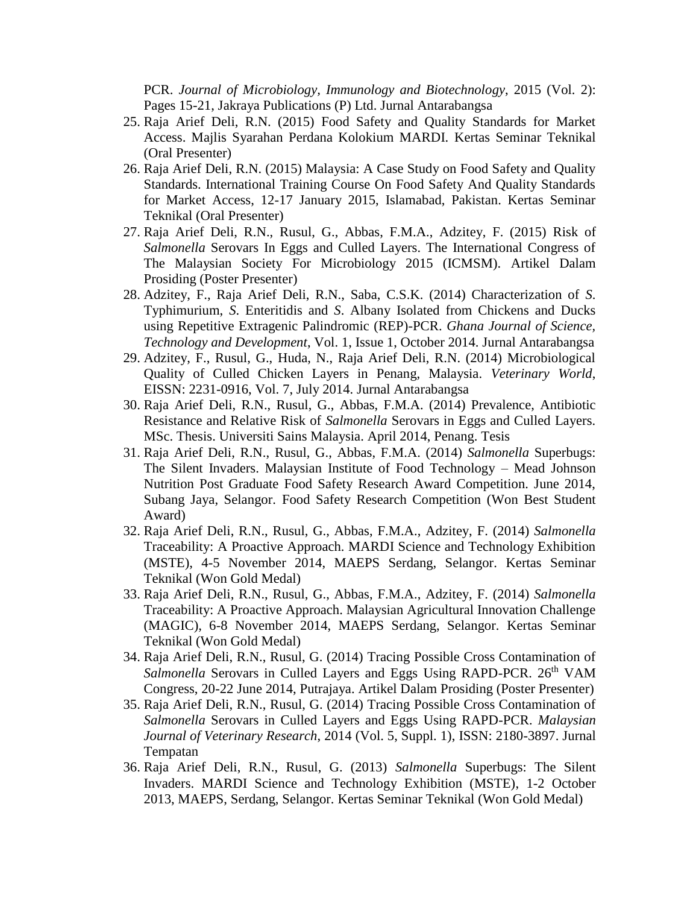PCR. *Journal of Microbiology, Immunology and Biotechnology*, 2015 (Vol. 2): Pages 15-21, Jakraya Publications (P) Ltd. Jurnal Antarabangsa

- 25. Raja Arief Deli, R.N. (2015) Food Safety and Quality Standards for Market Access. Majlis Syarahan Perdana Kolokium MARDI. Kertas Seminar Teknikal (Oral Presenter)
- 26. Raja Arief Deli, R.N. (2015) Malaysia: A Case Study on Food Safety and Quality Standards. International Training Course On Food Safety And Quality Standards for Market Access, 12-17 January 2015, Islamabad, Pakistan. Kertas Seminar Teknikal (Oral Presenter)
- 27. Raja Arief Deli, R.N., Rusul, G., Abbas, F.M.A., Adzitey, F. (2015) Risk of *Salmonella* Serovars In Eggs and Culled Layers. The International Congress of The Malaysian Society For Microbiology 2015 (ICMSM). Artikel Dalam Prosiding (Poster Presenter)
- 28. Adzitey, F., Raja Arief Deli, R.N., Saba, C.S.K. (2014) Characterization of *S*. Typhimurium, *S*. Enteritidis and *S*. Albany Isolated from Chickens and Ducks using Repetitive Extragenic Palindromic (REP)-PCR. *Ghana Journal of Science, Technology and Development*, Vol. 1, Issue 1, October 2014. Jurnal Antarabangsa
- 29. Adzitey, F., Rusul, G., Huda, N., Raja Arief Deli, R.N. (2014) Microbiological Quality of Culled Chicken Layers in Penang, Malaysia. *Veterinary World*, EISSN: 2231-0916, Vol. 7, July 2014. Jurnal Antarabangsa
- 30. Raja Arief Deli, R.N., Rusul, G., Abbas, F.M.A. (2014) Prevalence, Antibiotic Resistance and Relative Risk of *Salmonella* Serovars in Eggs and Culled Layers. MSc. Thesis. Universiti Sains Malaysia. April 2014, Penang. Tesis
- 31. Raja Arief Deli, R.N., Rusul, G., Abbas, F.M.A. (2014) *Salmonella* Superbugs: The Silent Invaders. Malaysian Institute of Food Technology – Mead Johnson Nutrition Post Graduate Food Safety Research Award Competition. June 2014, Subang Jaya, Selangor. Food Safety Research Competition (Won Best Student Award)
- 32. Raja Arief Deli, R.N., Rusul, G., Abbas, F.M.A., Adzitey, F. (2014) *Salmonella* Traceability: A Proactive Approach. MARDI Science and Technology Exhibition (MSTE), 4-5 November 2014, MAEPS Serdang, Selangor. Kertas Seminar Teknikal (Won Gold Medal)
- 33. Raja Arief Deli, R.N., Rusul, G., Abbas, F.M.A., Adzitey, F. (2014) *Salmonella* Traceability: A Proactive Approach. Malaysian Agricultural Innovation Challenge (MAGIC), 6-8 November 2014, MAEPS Serdang, Selangor. Kertas Seminar Teknikal (Won Gold Medal)
- 34. Raja Arief Deli, R.N., Rusul, G. (2014) Tracing Possible Cross Contamination of *Salmonella* Serovars in Culled Layers and Eggs Using RAPD-PCR. 26<sup>th</sup> VAM Congress, 20-22 June 2014, Putrajaya. Artikel Dalam Prosiding (Poster Presenter)
- 35. Raja Arief Deli, R.N., Rusul, G. (2014) Tracing Possible Cross Contamination of *Salmonella* Serovars in Culled Layers and Eggs Using RAPD-PCR. *Malaysian Journal of Veterinary Research*, 2014 (Vol. 5, Suppl. 1), ISSN: 2180-3897. Jurnal Tempatan
- 36. Raja Arief Deli, R.N., Rusul, G. (2013) *Salmonella* Superbugs: The Silent Invaders. MARDI Science and Technology Exhibition (MSTE), 1-2 October 2013, MAEPS, Serdang, Selangor. Kertas Seminar Teknikal (Won Gold Medal)